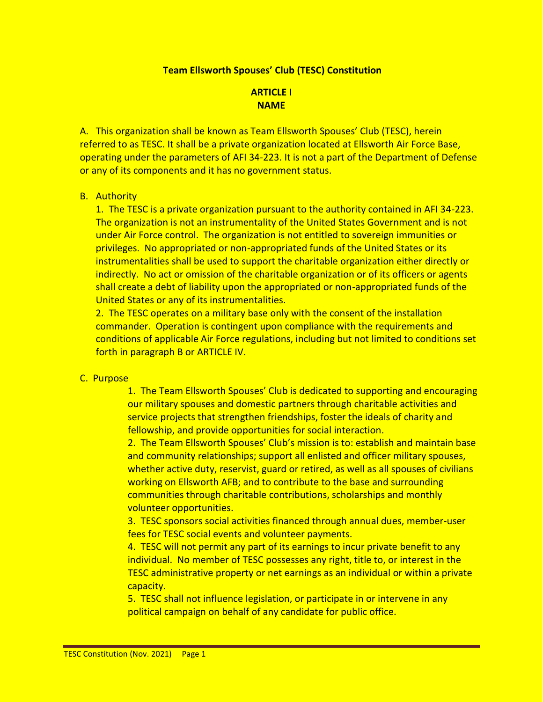#### **Team Ellsworth Spouses' Club (TESC) Constitution**

## **ARTICLE I NAME**

A. This organization shall be known as Team Ellsworth Spouses' Club (TESC), herein referred to as TESC. It shall be a private organization located at Ellsworth Air Force Base, operating under the parameters of AFI 34-223. It is not a part of the Department of Defense or any of its components and it has no government status.

#### B. Authority

1. The TESC is a private organization pursuant to the authority contained in AFI 34-223. The organization is not an instrumentality of the United States Government and is not under Air Force control. The organization is not entitled to sovereign immunities or privileges. No appropriated or non-appropriated funds of the United States or its instrumentalities shall be used to support the charitable organization either directly or indirectly. No act or omission of the charitable organization or of its officers or agents shall create a debt of liability upon the appropriated or non-appropriated funds of the United States or any of its instrumentalities.

2. The TESC operates on a military base only with the consent of the installation commander. Operation is contingent upon compliance with the requirements and conditions of applicable Air Force regulations, including but not limited to conditions set forth in paragraph B or ARTICLE IV.

#### C. Purpose

1. The Team Ellsworth Spouses' Club is dedicated to supporting and encouraging our military spouses and domestic partners through charitable activities and service projects that strengthen friendships, foster the ideals of charity and fellowship, and provide opportunities for social interaction.

2. The Team Ellsworth Spouses' Club's mission is to: establish and maintain base and community relationships; support all enlisted and officer military spouses, whether active duty, reservist, guard or retired, as well as all spouses of civilians working on Ellsworth AFB; and to contribute to the base and surrounding communities through charitable contributions, scholarships and monthly volunteer opportunities.

3. TESC sponsors social activities financed through annual dues, member-user fees for TESC social events and volunteer payments.

4. TESC will not permit any part of its earnings to incur private benefit to any individual. No member of TESC possesses any right, title to, or interest in the TESC administrative property or net earnings as an individual or within a private capacity.

5. TESC shall not influence legislation, or participate in or intervene in any political campaign on behalf of any candidate for public office.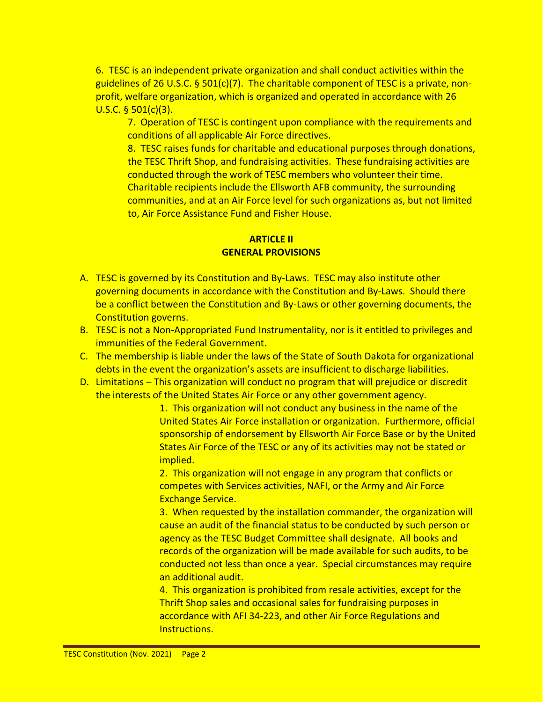6. TESC is an independent private organization and shall conduct activities within the guidelines of 26 U.S.C. § 501(c)(7). The charitable component of TESC is a private, nonprofit, welfare organization, which is organized and operated in accordance with 26 U.S.C. § 501(c)(3).

7. Operation of TESC is contingent upon compliance with the requirements and conditions of all applicable Air Force directives.

8. TESC raises funds for charitable and educational purposes through donations, the TESC Thrift Shop, and fundraising activities. These fundraising activities are conducted through the work of TESC members who volunteer their time. Charitable recipients include the Ellsworth AFB community, the surrounding communities, and at an Air Force level for such organizations as, but not limited to, Air Force Assistance Fund and Fisher House.

# **ARTICLE II GENERAL PROVISIONS**

- A. TESC is governed by its Constitution and By-Laws. TESC may also institute other governing documents in accordance with the Constitution and By-Laws. Should there be a conflict between the Constitution and By-Laws or other governing documents, the Constitution governs.
- B. TESC is not a Non-Appropriated Fund Instrumentality, nor is it entitled to privileges and immunities of the Federal Government.
- C. The membership is liable under the laws of the State of South Dakota for organizational debts in the event the organization's assets are insufficient to discharge liabilities.
- D. Limitations This organization will conduct no program that will prejudice or discredit the interests of the United States Air Force or any other government agency.

1. This organization will not conduct any business in the name of the United States Air Force installation or organization. Furthermore, official sponsorship of endorsement by Ellsworth Air Force Base or by the United States Air Force of the TESC or any of its activities may not be stated or implied.

2. This organization will not engage in any program that conflicts or competes with Services activities, NAFI, or the Army and Air Force Exchange Service.

3. When requested by the installation commander, the organization will cause an audit of the financial status to be conducted by such person or agency as the TESC Budget Committee shall designate. All books and records of the organization will be made available for such audits, to be conducted not less than once a year. Special circumstances may require an additional audit.

4. This organization is prohibited from resale activities, except for the Thrift Shop sales and occasional sales for fundraising purposes in accordance with AFI 34-223, and other Air Force Regulations and Instructions.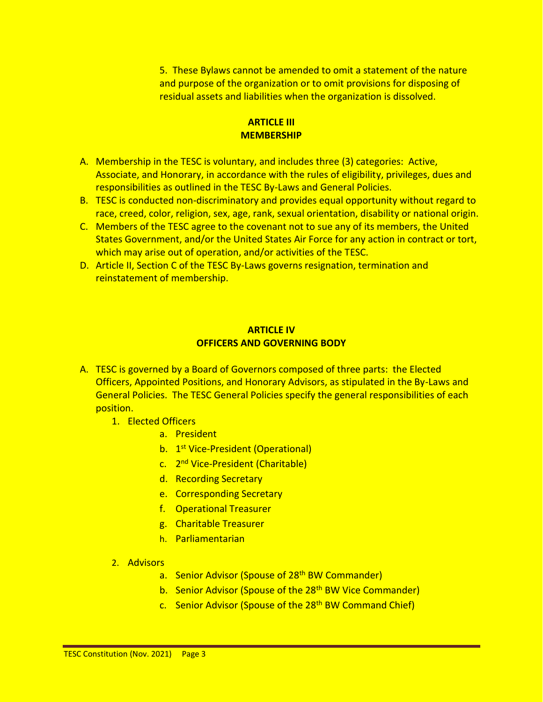5. These Bylaws cannot be amended to omit a statement of the nature and purpose of the organization or to omit provisions for disposing of residual assets and liabilities when the organization is dissolved.

# **ARTICLE III MEMBERSHIP**

- A. Membership in the TESC is voluntary, and includes three (3) categories: Active, Associate, and Honorary, in accordance with the rules of eligibility, privileges, dues and responsibilities as outlined in the TESC By-Laws and General Policies.
- B. TESC is conducted non-discriminatory and provides equal opportunity without regard to race, creed, color, religion, sex, age, rank, sexual orientation, disability or national origin.
- C. Members of the TESC agree to the covenant not to sue any of its members, the United States Government, and/or the United States Air Force for any action in contract or tort, which may arise out of operation, and/or activities of the TESC.
- D. Article II, Section C of the TESC By-Laws governs resignation, termination and reinstatement of membership.

#### **ARTICLE IV OFFICERS AND GOVERNING BODY**

- A. TESC is governed by a Board of Governors composed of three parts: the Elected Officers, Appointed Positions, and Honorary Advisors, as stipulated in the By-Laws and General Policies. The TESC General Policies specify the general responsibilities of each position.
	- 1. Elected Officers
		- a. President
		- b. 1<sup>st</sup> Vice-President (Operational)
		- c. 2<sup>nd</sup> Vice-President (Charitable)
		- d. Recording Secretary
		- e. Corresponding Secretary
		- f. Operational Treasurer
		- g. Charitable Treasurer
		- h. Parliamentarian
	- 2. Advisors
		- a. Senior Advisor (Spouse of 28<sup>th</sup> BW Commander)
		- b. Senior Advisor (Spouse of the 28<sup>th</sup> BW Vice Commander)
		- c. Senior Advisor (Spouse of the 28<sup>th</sup> BW Command Chief)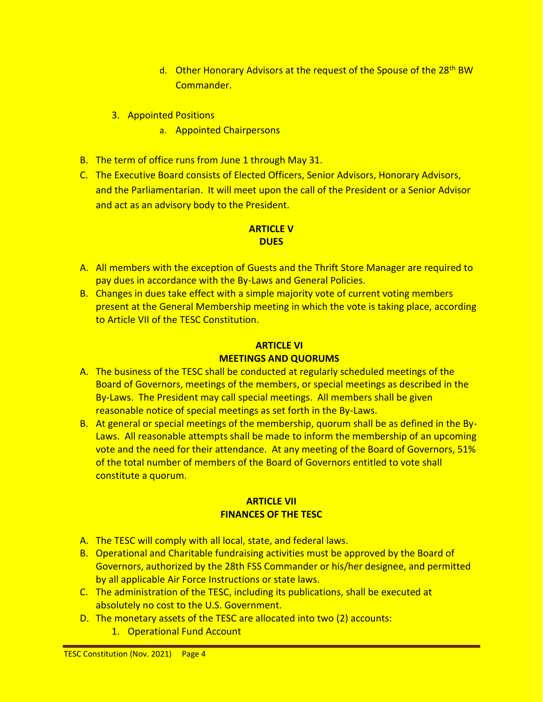- d. Other Honorary Advisors at the request of the Spouse of the 28<sup>th</sup> BW Commander.
- 3. Appointed Positions
	- a. Appointed Chairpersons
- B. The term of office runs from June 1 through May 31.
- C. The Executive Board consists of Elected Officers, Senior Advisors, Honorary Advisors, and the Parliamentarian. It will meet upon the call of the President or a Senior Advisor and act as an advisory body to the President.

## **ARTICLE V DUES**

- A. All members with the exception of Guests and the Thrift Store Manager are required to pay dues in accordance with the By-Laws and General Policies.
- B. Changes in dues take effect with a simple majority vote of current voting members present at the General Membership meeting in which the vote is taking place, according to Article VII of the TESC Constitution.

# **ARTICLE VI MEETINGS AND QUORUMS**

- A. The business of the TESC shall be conducted at regularly scheduled meetings of the Board of Governors, meetings of the members, or special meetings as described in the By-Laws. The President may call special meetings. All members shall be given reasonable notice of special meetings as set forth in the By-Laws.
- B. At general or special meetings of the membership, quorum shall be as defined in the By-Laws. All reasonable attempts shall be made to inform the membership of an upcoming vote and the need for their attendance. At any meeting of the Board of Governors, 51% of the total number of members of the Board of Governors entitled to vote shall constitute a quorum.

# **ARTICLE VII FINANCES OF THE TESC**

- A. The TESC will comply with all local, state, and federal laws.
- B. Operational and Charitable fundraising activities must be approved by the Board of Governors, authorized by the 28th FSS Commander or his/her designee, and permitted by all applicable Air Force Instructions or state laws.
- C. The administration of the TESC, including its publications, shall be executed at absolutely no cost to the U.S. Government.
- D. The monetary assets of the TESC are allocated into two (2) accounts:
	- 1. Operational Fund Account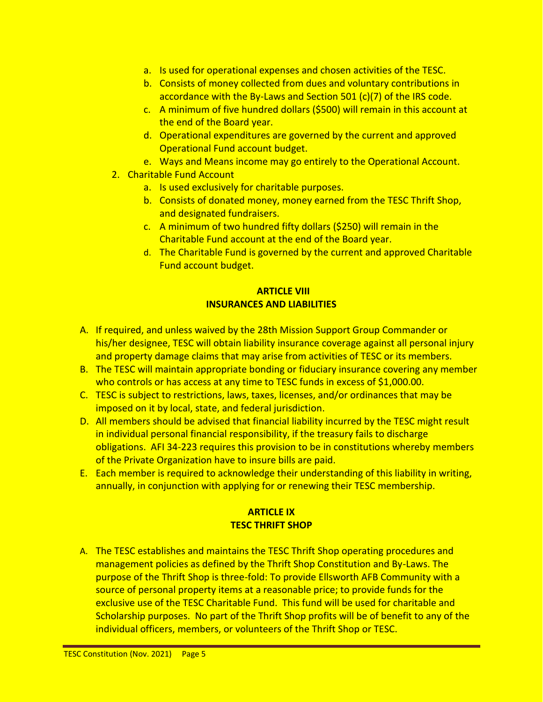- a. Is used for operational expenses and chosen activities of the TESC.
- b. Consists of money collected from dues and voluntary contributions in accordance with the By-Laws and Section 501 (c)(7) of the IRS code.
- c. A minimum of five hundred dollars (\$500) will remain in this account at the end of the Board year.
- d. Operational expenditures are governed by the current and approved Operational Fund account budget.
- e. Ways and Means income may go entirely to the Operational Account.
- 2. Charitable Fund Account
	- a. Is used exclusively for charitable purposes.
	- b. Consists of donated money, money earned from the TESC Thrift Shop, and designated fundraisers.
	- c. A minimum of two hundred fifty dollars (\$250) will remain in the Charitable Fund account at the end of the Board year.
	- d. The Charitable Fund is governed by the current and approved Charitable Fund account budget.

# **ARTICLE VIII INSURANCES AND LIABILITIES**

- A. If required, and unless waived by the 28th Mission Support Group Commander or his/her designee, TESC will obtain liability insurance coverage against all personal injury and property damage claims that may arise from activities of TESC or its members.
- B. The TESC will maintain appropriate bonding or fiduciary insurance covering any member who controls or has access at any time to TESC funds in excess of \$1,000.00.
- C. TESC is subject to restrictions, laws, taxes, licenses, and/or ordinances that may be imposed on it by local, state, and federal jurisdiction.
- D. All members should be advised that financial liability incurred by the TESC might result in individual personal financial responsibility, if the treasury fails to discharge obligations. AFI 34-223 requires this provision to be in constitutions whereby members of the Private Organization have to insure bills are paid.
- E. Each member is required to acknowledge their understanding of this liability in writing, annually, in conjunction with applying for or renewing their TESC membership.

# **ARTICLE IX TESC THRIFT SHOP**

A. The TESC establishes and maintains the TESC Thrift Shop operating procedures and management policies as defined by the Thrift Shop Constitution and By-Laws. The purpose of the Thrift Shop is three-fold: To provide Ellsworth AFB Community with a source of personal property items at a reasonable price; to provide funds for the exclusive use of the TESC Charitable Fund. This fund will be used for charitable and Scholarship purposes. No part of the Thrift Shop profits will be of benefit to any of the individual officers, members, or volunteers of the Thrift Shop or TESC.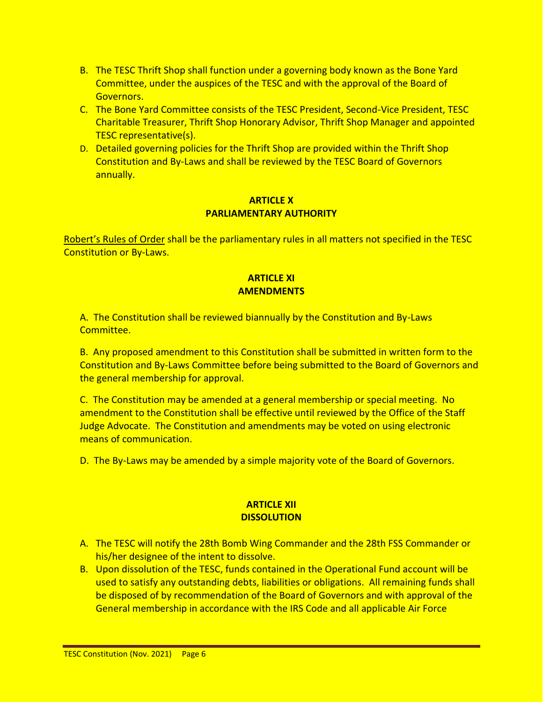- B. The TESC Thrift Shop shall function under a governing body known as the Bone Yard Committee, under the auspices of the TESC and with the approval of the Board of Governors.
- C. The Bone Yard Committee consists of the TESC President, Second-Vice President, TESC Charitable Treasurer, Thrift Shop Honorary Advisor, Thrift Shop Manager and appointed TESC representative(s).
- D. Detailed governing policies for the Thrift Shop are provided within the Thrift Shop Constitution and By-Laws and shall be reviewed by the TESC Board of Governors annually.

## **ARTICLE X PARLIAMENTARY AUTHORITY**

Robert's Rules of Order shall be the parliamentary rules in all matters not specified in the TESC Constitution or By-Laws.

## **ARTICLE XI AMENDMENTS**

A. The Constitution shall be reviewed biannually by the Constitution and By-Laws Committee.

B. Any proposed amendment to this Constitution shall be submitted in written form to the Constitution and By-Laws Committee before being submitted to the Board of Governors and the general membership for approval.

C. The Constitution may be amended at a general membership or special meeting. No amendment to the Constitution shall be effective until reviewed by the Office of the Staff Judge Advocate. The Constitution and amendments may be voted on using electronic means of communication.

D. The By-Laws may be amended by a simple majority vote of the Board of Governors.

## **ARTICLE XII DISSOLUTION**

- A. The TESC will notify the 28th Bomb Wing Commander and the 28th FSS Commander or his/her designee of the intent to dissolve.
- B. Upon dissolution of the TESC, funds contained in the Operational Fund account will be used to satisfy any outstanding debts, liabilities or obligations. All remaining funds shall be disposed of by recommendation of the Board of Governors and with approval of the General membership in accordance with the IRS Code and all applicable Air Force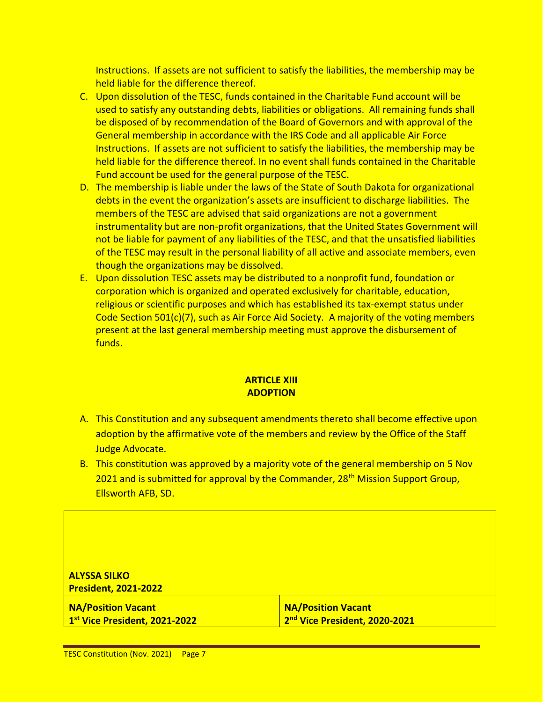Instructions. If assets are not sufficient to satisfy the liabilities, the membership may be held liable for the difference thereof.

- C. Upon dissolution of the TESC, funds contained in the Charitable Fund account will be used to satisfy any outstanding debts, liabilities or obligations. All remaining funds shall be disposed of by recommendation of the Board of Governors and with approval of the General membership in accordance with the IRS Code and all applicable Air Force Instructions. If assets are not sufficient to satisfy the liabilities, the membership may be held liable for the difference thereof. In no event shall funds contained in the Charitable Fund account be used for the general purpose of the TESC.
- D. The membership is liable under the laws of the State of South Dakota for organizational debts in the event the organization's assets are insufficient to discharge liabilities. The members of the TESC are advised that said organizations are not a government instrumentality but are non-profit organizations, that the United States Government will not be liable for payment of any liabilities of the TESC, and that the unsatisfied liabilities of the TESC may result in the personal liability of all active and associate members, even though the organizations may be dissolved.
- E. Upon dissolution TESC assets may be distributed to a nonprofit fund, foundation or corporation which is organized and operated exclusively for charitable, education, religious or scientific purposes and which has established its tax-exempt status under Code Section 501(c)(7), such as Air Force Aid Society. A majority of the voting members present at the last general membership meeting must approve the disbursement of funds.

## **ARTICLE XIII ADOPTION**

- A. This Constitution and any subsequent amendments thereto shall become effective upon adoption by the affirmative vote of the members and review by the Office of the Staff Judge Advocate.
- B. This constitution was approved by a majority vote of the general membership on 5 Nov 2021 and is submitted for approval by the Commander, 28<sup>th</sup> Mission Support Group, Ellsworth AFB, SD.

| <b>ALYSSA SILKO</b>           |                               |  |
|-------------------------------|-------------------------------|--|
| <b>President, 2021-2022</b>   |                               |  |
| <b>NA/Position Vacant</b>     | <b>NA/Position Vacant</b>     |  |
| 1st Vice President, 2021-2022 | 2nd Vice President, 2020-2021 |  |